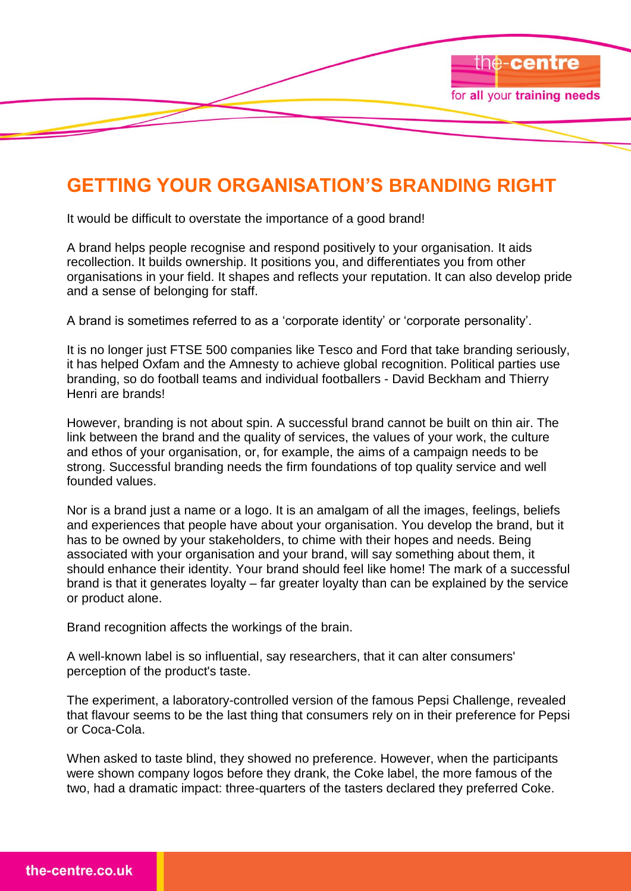# **GETTING YOUR ORGANISATION'S BRANDING RIGHT**

the-centre

for all your training needs

It would be difficult to overstate the importance of a good brand!

A brand helps people recognise and respond positively to your organisation. It aids recollection. It builds ownership. It positions you, and differentiates you from other organisations in your field. It shapes and reflects your reputation. It can also develop pride and a sense of belonging for staff.

A brand is sometimes referred to as a "corporate identity" or "corporate personality".

It is no longer just FTSE 500 companies like Tesco and Ford that take branding seriously, it has helped Oxfam and the Amnesty to achieve global recognition. Political parties use branding, so do football teams and individual footballers - David Beckham and Thierry Henri are brands!

However, branding is not about spin. A successful brand cannot be built on thin air. The link between the brand and the quality of services, the values of your work, the culture and ethos of your organisation, or, for example, the aims of a campaign needs to be strong. Successful branding needs the firm foundations of top quality service and well founded values.

Nor is a brand just a name or a logo. It is an amalgam of all the images, feelings, beliefs and experiences that people have about your organisation. You develop the brand, but it has to be owned by your stakeholders, to chime with their hopes and needs. Being associated with your organisation and your brand, will say something about them, it should enhance their identity. Your brand should feel like home! The mark of a successful brand is that it generates loyalty – far greater loyalty than can be explained by the service or product alone.

Brand recognition affects the workings of the brain.

A well-known label is so influential, say researchers, that it can alter consumers' perception of the product's taste.

The experiment, a laboratory-controlled version of the famous Pepsi Challenge, revealed that flavour seems to be the last thing that consumers rely on in their preference for Pepsi or Coca-Cola.

When asked to taste blind, they showed no preference. However, when the participants were shown company logos before they drank, the Coke label, the more famous of the two, had a dramatic impact: three-quarters of the tasters declared they preferred Coke.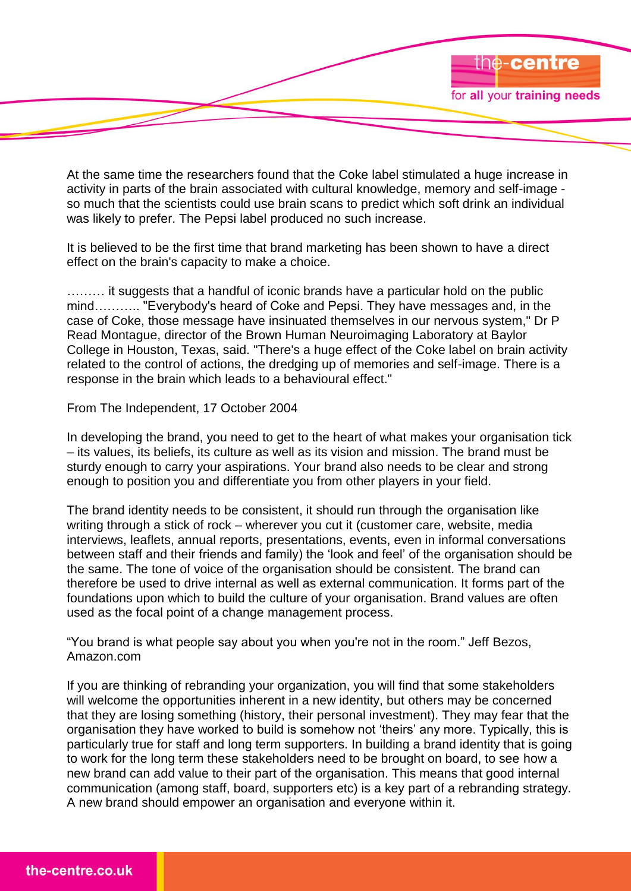At the same time the researchers found that the Coke label stimulated a huge increase in activity in parts of the brain associated with cultural knowledge, memory and self-image so much that the scientists could use brain scans to predict which soft drink an individual was likely to prefer. The Pepsi label produced no such increase.

the-centre

for all your training needs

It is believed to be the first time that brand marketing has been shown to have a direct effect on the brain's capacity to make a choice.

……… it suggests that a handful of iconic brands have a particular hold on the public mind……….. "Everybody's heard of Coke and Pepsi. They have messages and, in the case of Coke, those message have insinuated themselves in our nervous system," Dr P Read Montague, director of the Brown Human Neuroimaging Laboratory at Baylor College in Houston, Texas, said. "There's a huge effect of the Coke label on brain activity related to the control of actions, the dredging up of memories and self-image. There is a response in the brain which leads to a behavioural effect."

#### From The Independent, 17 October 2004

In developing the brand, you need to get to the heart of what makes your organisation tick – its values, its beliefs, its culture as well as its vision and mission. The brand must be sturdy enough to carry your aspirations. Your brand also needs to be clear and strong enough to position you and differentiate you from other players in your field.

The brand identity needs to be consistent, it should run through the organisation like writing through a stick of rock – wherever you cut it (customer care, website, media interviews, leaflets, annual reports, presentations, events, even in informal conversations between staff and their friends and family) the "look and feel" of the organisation should be the same. The tone of voice of the organisation should be consistent. The brand can therefore be used to drive internal as well as external communication. It forms part of the foundations upon which to build the culture of your organisation. Brand values are often used as the focal point of a change management process.

"You brand is what people say about you when you're not in the room." Jeff Bezos, Amazon.com

If you are thinking of rebranding your organization, you will find that some stakeholders will welcome the opportunities inherent in a new identity, but others may be concerned that they are losing something (history, their personal investment). They may fear that the organisation they have worked to build is somehow not "theirs" any more. Typically, this is particularly true for staff and long term supporters. In building a brand identity that is going to work for the long term these stakeholders need to be brought on board, to see how a new brand can add value to their part of the organisation. This means that good internal communication (among staff, board, supporters etc) is a key part of a rebranding strategy. A new brand should empower an organisation and everyone within it.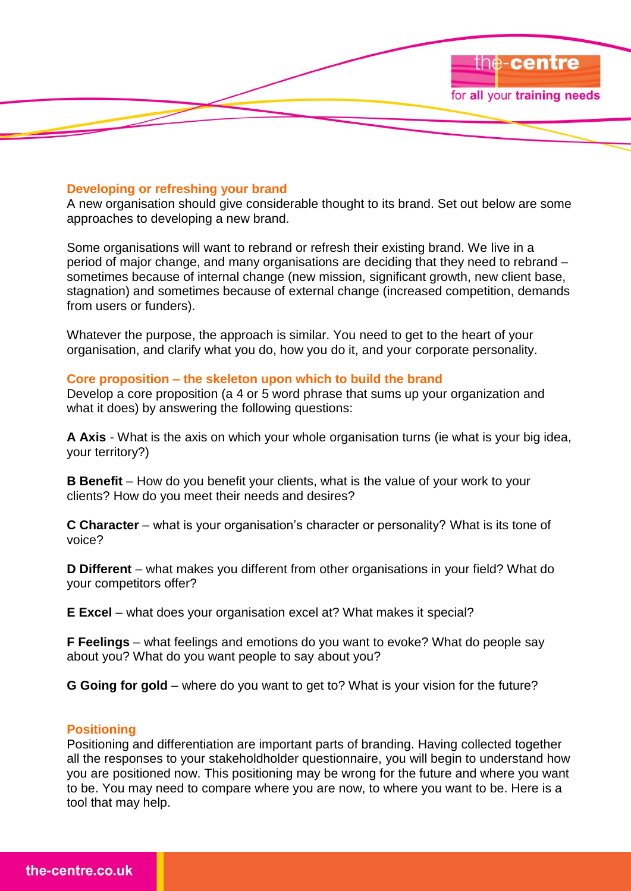

#### **Developing or refreshing your brand**

A new organisation should give considerable thought to its brand. Set out below are some approaches to developing a new brand.

Some organisations will want to rebrand or refresh their existing brand. We live in a period of major change, and many organisations are deciding that they need to rebrand – sometimes because of internal change (new mission, significant growth, new client base, stagnation) and sometimes because of external change (increased competition, demands from users or funders).

Whatever the purpose, the approach is similar. You need to get to the heart of your organisation, and clarify what you do, how you do it, and your corporate personality.

## **Core proposition – the skeleton upon which to build the brand**

Develop a core proposition (a 4 or 5 word phrase that sums up your organization and what it does) by answering the following questions:

**A Axis** - What is the axis on which your whole organisation turns (ie what is your big idea, your territory?)

**B Benefit** – How do you benefit your clients, what is the value of your work to your clients? How do you meet their needs and desires?

**C Character** – what is your organisation"s character or personality? What is its tone of voice?

**D Different** – what makes you different from other organisations in your field? What do your competitors offer?

**E Excel** – what does your organisation excel at? What makes it special?

**F Feelings** – what feelings and emotions do you want to evoke? What do people say about you? What do you want people to say about you?

**G Going for gold** – where do you want to get to? What is your vision for the future?

#### **Positioning**

Positioning and differentiation are important parts of branding. Having collected together all the responses to your stakeholdholder questionnaire, you will begin to understand how you are positioned now. This positioning may be wrong for the future and where you want to be. You may need to compare where you are now, to where you want to be. Here is a tool that may help.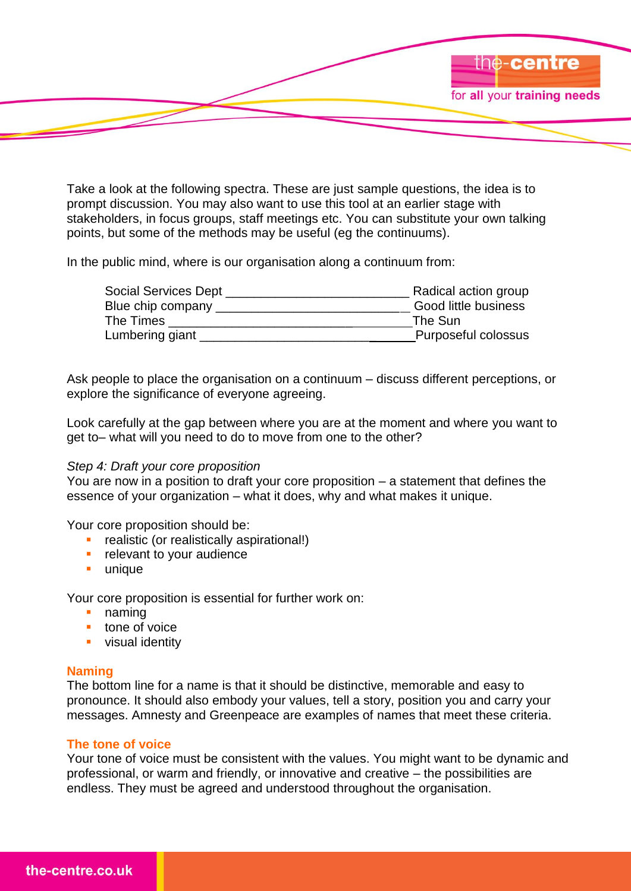

Take a look at the following spectra. These are just sample questions, the idea is to prompt discussion. You may also want to use this tool at an earlier stage with stakeholders, in focus groups, staff meetings etc. You can substitute your own talking points, but some of the methods may be useful (eg the continuums).

In the public mind, where is our organisation along a continuum from:

| Radical action group |
|----------------------|
| Good little business |
| The Sun              |
| Purposeful colossus  |
|                      |

Ask people to place the organisation on a continuum – discuss different perceptions, or explore the significance of everyone agreeing.

Look carefully at the gap between where you are at the moment and where you want to get to– what will you need to do to move from one to the other?

## *Step 4: Draft your core proposition*

You are now in a position to draft your core proposition – a statement that defines the essence of your organization – what it does, why and what makes it unique.

Your core proposition should be:

- **realistic (or realistically aspirational!)**
- **F** relevant to your audience
- **unique**

Your core proposition is essential for further work on:

- **naming**
- **tone of voice**
- **visual identity**

# **Naming**

The bottom line for a name is that it should be distinctive, memorable and easy to pronounce. It should also embody your values, tell a story, position you and carry your messages. Amnesty and Greenpeace are examples of names that meet these criteria.

## **The tone of voice**

Your tone of voice must be consistent with the values. You might want to be dynamic and professional, or warm and friendly, or innovative and creative – the possibilities are endless. They must be agreed and understood throughout the organisation.